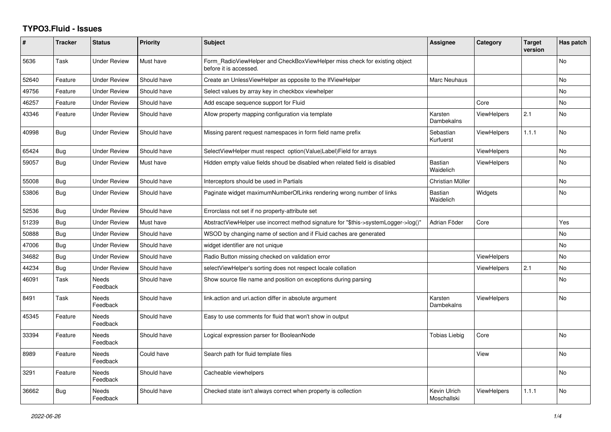## **TYPO3.Fluid - Issues**

| #     | <b>Tracker</b> | <b>Status</b>            | <b>Priority</b> | Subject                                                                                              | Assignee                    | Category           | <b>Target</b><br>version | Has patch |
|-------|----------------|--------------------------|-----------------|------------------------------------------------------------------------------------------------------|-----------------------------|--------------------|--------------------------|-----------|
| 5636  | Task           | <b>Under Review</b>      | Must have       | Form RadioViewHelper and CheckBoxViewHelper miss check for existing object<br>before it is accessed. |                             |                    |                          | No        |
| 52640 | Feature        | <b>Under Review</b>      | Should have     | Create an UnlessViewHelper as opposite to the IfViewHelper                                           | Marc Neuhaus                |                    |                          | No        |
| 49756 | Feature        | <b>Under Review</b>      | Should have     | Select values by array key in checkbox viewhelper                                                    |                             |                    |                          | <b>No</b> |
| 46257 | Feature        | <b>Under Review</b>      | Should have     | Add escape sequence support for Fluid                                                                |                             | Core               |                          | No        |
| 43346 | Feature        | <b>Under Review</b>      | Should have     | Allow property mapping configuration via template                                                    | Karsten<br>Dambekalns       | <b>ViewHelpers</b> | 2.1                      | No        |
| 40998 | <b>Bug</b>     | <b>Under Review</b>      | Should have     | Missing parent request namespaces in form field name prefix                                          | Sebastian<br>Kurfuerst      | <b>ViewHelpers</b> | 1.1.1                    | No        |
| 65424 | <b>Bug</b>     | Under Review             | Should have     | SelectViewHelper must respect option(Value Label)Field for arrays                                    |                             | <b>ViewHelpers</b> |                          | No        |
| 59057 | <b>Bug</b>     | <b>Under Review</b>      | Must have       | Hidden empty value fields shoud be disabled when related field is disabled                           | <b>Bastian</b><br>Waidelich | <b>ViewHelpers</b> |                          | No        |
| 55008 | Bug            | <b>Under Review</b>      | Should have     | Interceptors should be used in Partials                                                              | Christian Müller            |                    |                          | No        |
| 53806 | <b>Bug</b>     | <b>Under Review</b>      | Should have     | Paginate widget maximumNumberOfLinks rendering wrong number of links                                 | Bastian<br>Waidelich        | Widgets            |                          | No        |
| 52536 | Bug            | <b>Under Review</b>      | Should have     | Errorclass not set if no property-attribute set                                                      |                             |                    |                          |           |
| 51239 | Bug            | <b>Under Review</b>      | Must have       | AbstractViewHelper use incorrect method signature for "\$this->systemLogger->log()"                  | Adrian Föder                | Core               |                          | Yes       |
| 50888 | Bug            | <b>Under Review</b>      | Should have     | WSOD by changing name of section and if Fluid caches are generated                                   |                             |                    |                          | No        |
| 47006 | <b>Bug</b>     | <b>Under Review</b>      | Should have     | widget identifier are not unique                                                                     |                             |                    |                          | No        |
| 34682 | Bug            | <b>Under Review</b>      | Should have     | Radio Button missing checked on validation error                                                     |                             | <b>ViewHelpers</b> |                          | No        |
| 44234 | <b>Bug</b>     | <b>Under Review</b>      | Should have     | selectViewHelper's sorting does not respect locale collation                                         |                             | ViewHelpers        | 2.1                      | No        |
| 46091 | Task           | Needs<br>Feedback        | Should have     | Show source file name and position on exceptions during parsing                                      |                             |                    |                          | No        |
| 8491  | Task           | Needs<br>Feedback        | Should have     | link action and uri action differ in absolute argument                                               | Karsten<br>Dambekalns       | ViewHelpers        |                          | No        |
| 45345 | Feature        | Needs<br>Feedback        | Should have     | Easy to use comments for fluid that won't show in output                                             |                             |                    |                          |           |
| 33394 | Feature        | <b>Needs</b><br>Feedback | Should have     | Logical expression parser for BooleanNode                                                            | <b>Tobias Liebig</b>        | Core               |                          | No        |
| 8989  | Feature        | Needs<br>Feedback        | Could have      | Search path for fluid template files                                                                 |                             | View               |                          | No        |
| 3291  | Feature        | <b>Needs</b><br>Feedback | Should have     | Cacheable viewhelpers                                                                                |                             |                    |                          | No        |
| 36662 | <b>Bug</b>     | Needs<br>Feedback        | Should have     | Checked state isn't always correct when property is collection                                       | Kevin Ulrich<br>Moschallski | <b>ViewHelpers</b> | 1.1.1                    | No.       |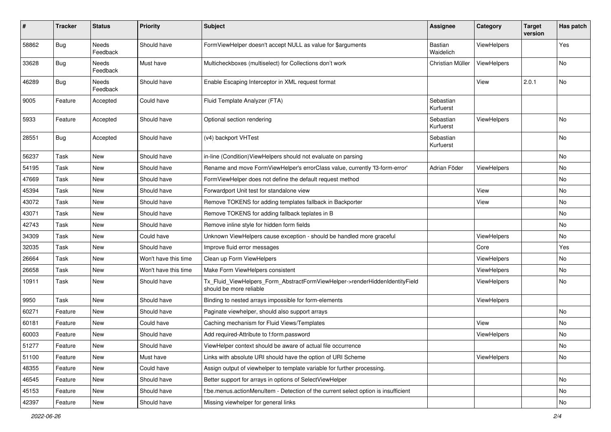| #     | <b>Tracker</b> | <b>Status</b>            | <b>Priority</b>      | <b>Subject</b>                                                                                         | <b>Assignee</b>        | Category           | <b>Target</b><br>version | Has patch |
|-------|----------------|--------------------------|----------------------|--------------------------------------------------------------------------------------------------------|------------------------|--------------------|--------------------------|-----------|
| 58862 | Bug            | <b>Needs</b><br>Feedback | Should have          | FormViewHelper doesn't accept NULL as value for \$arguments                                            | Bastian<br>Waidelich   | ViewHelpers        |                          | Yes       |
| 33628 | <b>Bug</b>     | Needs<br>Feedback        | Must have            | Multicheckboxes (multiselect) for Collections don't work                                               | Christian Müller       | ViewHelpers        |                          | No        |
| 46289 | <b>Bug</b>     | Needs<br>Feedback        | Should have          | Enable Escaping Interceptor in XML request format                                                      |                        | View               | 2.0.1                    | No        |
| 9005  | Feature        | Accepted                 | Could have           | Fluid Template Analyzer (FTA)                                                                          | Sebastian<br>Kurfuerst |                    |                          |           |
| 5933  | Feature        | Accepted                 | Should have          | Optional section rendering                                                                             | Sebastian<br>Kurfuerst | ViewHelpers        |                          | No        |
| 28551 | Bug            | Accepted                 | Should have          | (v4) backport VHTest                                                                                   | Sebastian<br>Kurfuerst |                    |                          | No        |
| 56237 | Task           | New                      | Should have          | in-line (Condition) View Helpers should not evaluate on parsing                                        |                        |                    |                          | No        |
| 54195 | Task           | New                      | Should have          | Rename and move FormViewHelper's errorClass value, currently 'f3-form-error'                           | Adrian Föder           | <b>ViewHelpers</b> |                          | No        |
| 47669 | Task           | New                      | Should have          | FormViewHelper does not define the default request method                                              |                        |                    |                          | No        |
| 45394 | Task           | New                      | Should have          | Forwardport Unit test for standalone view                                                              |                        | View               |                          | No        |
| 43072 | Task           | New                      | Should have          | Remove TOKENS for adding templates fallback in Backporter                                              |                        | View               |                          | No        |
| 43071 | Task           | New                      | Should have          | Remove TOKENS for adding fallback teplates in B                                                        |                        |                    |                          | No        |
| 42743 | Task           | New                      | Should have          | Remove inline style for hidden form fields                                                             |                        |                    |                          | No        |
| 34309 | Task           | New                      | Could have           | Unknown ViewHelpers cause exception - should be handled more graceful                                  |                        | ViewHelpers        |                          | No        |
| 32035 | Task           | New                      | Should have          | Improve fluid error messages                                                                           |                        | Core               |                          | Yes       |
| 26664 | Task           | New                      | Won't have this time | Clean up Form ViewHelpers                                                                              |                        | ViewHelpers        |                          | No        |
| 26658 | Task           | New                      | Won't have this time | Make Form ViewHelpers consistent                                                                       |                        | ViewHelpers        |                          | No        |
| 10911 | Task           | New                      | Should have          | Tx_Fluid_ViewHelpers_Form_AbstractFormViewHelper->renderHiddenIdentityField<br>should be more reliable |                        | <b>ViewHelpers</b> |                          | No        |
| 9950  | Task           | New                      | Should have          | Binding to nested arrays impossible for form-elements                                                  |                        | <b>ViewHelpers</b> |                          |           |
| 60271 | Feature        | New                      | Should have          | Paginate viewhelper, should also support arrays                                                        |                        |                    |                          | No        |
| 60181 | Feature        | New                      | Could have           | Caching mechanism for Fluid Views/Templates                                                            |                        | View               |                          | No        |
| 60003 | Feature        | New                      | Should have          | Add required-Attribute to f:form.password                                                              |                        | <b>ViewHelpers</b> |                          | No        |
| 51277 | Feature        | New                      | Should have          | ViewHelper context should be aware of actual file occurrence                                           |                        |                    |                          | No        |
| 51100 | Feature        | New                      | Must have            | Links with absolute URI should have the option of URI Scheme                                           |                        | ViewHelpers        |                          | No        |
| 48355 | Feature        | New                      | Could have           | Assign output of viewhelper to template variable for further processing.                               |                        |                    |                          |           |
| 46545 | Feature        | New                      | Should have          | Better support for arrays in options of SelectViewHelper                                               |                        |                    |                          | No        |
| 45153 | Feature        | New                      | Should have          | f:be.menus.actionMenuItem - Detection of the current select option is insufficient                     |                        |                    |                          | No        |
| 42397 | Feature        | New                      | Should have          | Missing viewhelper for general links                                                                   |                        |                    |                          | No        |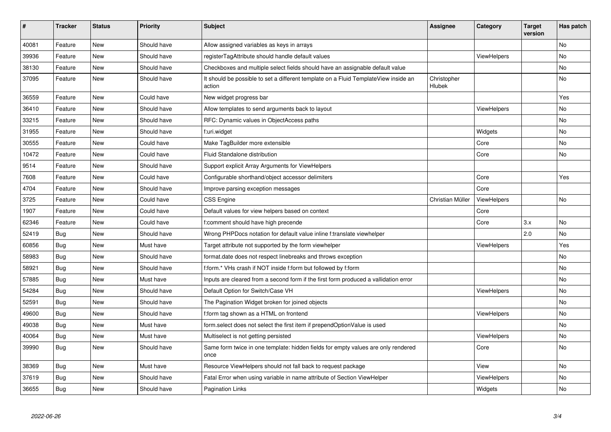| #     | <b>Tracker</b> | <b>Status</b> | <b>Priority</b> | <b>Subject</b>                                                                                | Assignee              | Category           | <b>Target</b><br>version | Has patch |
|-------|----------------|---------------|-----------------|-----------------------------------------------------------------------------------------------|-----------------------|--------------------|--------------------------|-----------|
| 40081 | Feature        | <b>New</b>    | Should have     | Allow assigned variables as keys in arrays                                                    |                       |                    |                          | <b>No</b> |
| 39936 | Feature        | New           | Should have     | registerTagAttribute should handle default values                                             |                       | <b>ViewHelpers</b> |                          | <b>No</b> |
| 38130 | Feature        | <b>New</b>    | Should have     | Checkboxes and multiple select fields should have an assignable default value                 |                       |                    |                          | <b>No</b> |
| 37095 | Feature        | <b>New</b>    | Should have     | It should be possible to set a different template on a Fluid TemplateView inside an<br>action | Christopher<br>Hlubek |                    |                          | No        |
| 36559 | Feature        | New           | Could have      | New widget progress bar                                                                       |                       |                    |                          | Yes       |
| 36410 | Feature        | New           | Should have     | Allow templates to send arguments back to layout                                              |                       | <b>ViewHelpers</b> |                          | <b>No</b> |
| 33215 | Feature        | <b>New</b>    | Should have     | RFC: Dynamic values in ObjectAccess paths                                                     |                       |                    |                          | <b>No</b> |
| 31955 | Feature        | New           | Should have     | f:uri.widget                                                                                  |                       | Widgets            |                          | No        |
| 30555 | Feature        | <b>New</b>    | Could have      | Make TagBuilder more extensible                                                               |                       | Core               |                          | No        |
| 10472 | Feature        | <b>New</b>    | Could have      | Fluid Standalone distribution                                                                 |                       | Core               |                          | No        |
| 9514  | Feature        | <b>New</b>    | Should have     | Support explicit Array Arguments for ViewHelpers                                              |                       |                    |                          |           |
| 7608  | Feature        | New           | Could have      | Configurable shorthand/object accessor delimiters                                             |                       | Core               |                          | Yes       |
| 4704  | Feature        | <b>New</b>    | Should have     | Improve parsing exception messages                                                            |                       | Core               |                          |           |
| 3725  | Feature        | <b>New</b>    | Could have      | <b>CSS Engine</b>                                                                             | Christian Müller      | ViewHelpers        |                          | <b>No</b> |
| 1907  | Feature        | New           | Could have      | Default values for view helpers based on context                                              |                       | Core               |                          |           |
| 62346 | Feature        | <b>New</b>    | Could have      | f:comment should have high precende                                                           |                       | Core               | 3.x                      | <b>No</b> |
| 52419 | Bug            | New           | Should have     | Wrong PHPDocs notation for default value inline f:translate viewhelper                        |                       |                    | 2.0                      | <b>No</b> |
| 60856 | Bug            | New           | Must have       | Target attribute not supported by the form viewhelper                                         |                       | ViewHelpers        |                          | Yes       |
| 58983 | Bug            | New           | Should have     | format.date does not respect linebreaks and throws exception                                  |                       |                    |                          | No        |
| 58921 | Bug            | New           | Should have     | f:form.* VHs crash if NOT inside f:form but followed by f:form                                |                       |                    |                          | No        |
| 57885 | Bug            | New           | Must have       | Inputs are cleared from a second form if the first form produced a vallidation error          |                       |                    |                          | No        |
| 54284 | Bug            | New           | Should have     | Default Option for Switch/Case VH                                                             |                       | <b>ViewHelpers</b> |                          | No        |
| 52591 | <b>Bug</b>     | <b>New</b>    | Should have     | The Pagination Widget broken for joined objects                                               |                       |                    |                          | No        |
| 49600 | Bug            | <b>New</b>    | Should have     | f:form tag shown as a HTML on frontend                                                        |                       | <b>ViewHelpers</b> |                          | No        |
| 49038 | Bug            | <b>New</b>    | Must have       | form select does not select the first item if prependOptionValue is used                      |                       |                    |                          | <b>No</b> |
| 40064 | Bug            | New           | Must have       | Multiselect is not getting persisted                                                          |                       | <b>ViewHelpers</b> |                          | No        |
| 39990 | Bug            | New           | Should have     | Same form twice in one template: hidden fields for empty values are only rendered<br>once     |                       | Core               |                          | <b>No</b> |
| 38369 | Bug            | <b>New</b>    | Must have       | Resource ViewHelpers should not fall back to request package                                  |                       | View               |                          | <b>No</b> |
| 37619 | Bug            | <b>New</b>    | Should have     | Fatal Error when using variable in name attribute of Section ViewHelper                       |                       | <b>ViewHelpers</b> |                          | <b>No</b> |
| 36655 | <b>Bug</b>     | <b>New</b>    | Should have     | <b>Pagination Links</b>                                                                       |                       | Widgets            |                          | No        |